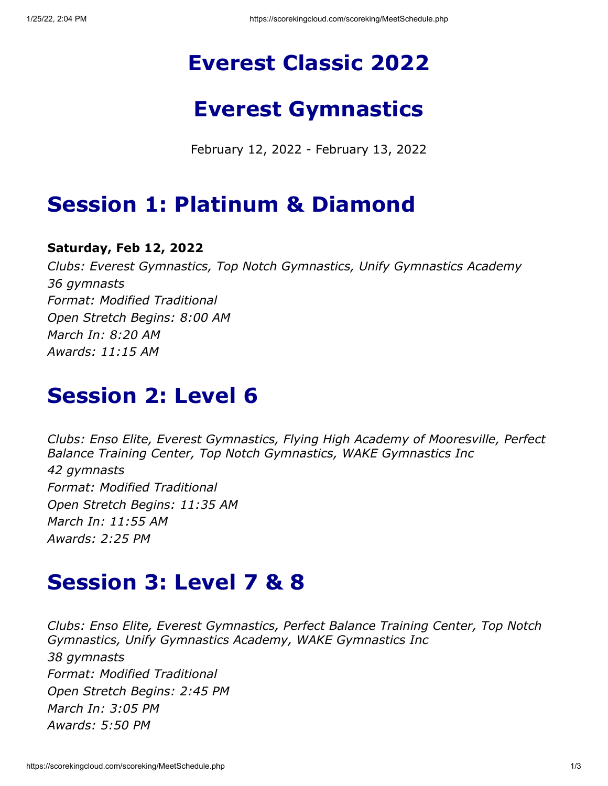# **Everest Classic 2022**

### **Everest Gymnastics**

February 12, 2022 - February 13, 2022

### **Session 1: Platinum & Diamond**

#### **Saturday, Feb 12, 2022**

*Clubs: Everest Gymnastics, Top Notch Gymnastics, Unify Gymnastics Academy 36 gymnasts Format: Modified Traditional Open Stretch Begins: 8:00 AM March In: 8:20 AM Awards: 11:15 AM*

#### **Session 2: Level 6**

*Clubs: Enso Elite, Everest Gymnastics, Flying High Academy of Mooresville, Perfect Balance Training Center, Top Notch Gymnastics, WAKE Gymnastics Inc 42 gymnasts Format: Modified Traditional Open Stretch Begins: 11:35 AM March In: 11:55 AM Awards: 2:25 PM*

# **Session 3: Level 7 & 8**

*Clubs: Enso Elite, Everest Gymnastics, Perfect Balance Training Center, Top Notch Gymnastics, Unify Gymnastics Academy, WAKE Gymnastics Inc 38 gymnasts Format: Modified Traditional Open Stretch Begins: 2:45 PM March In: 3:05 PM Awards: 5:50 PM*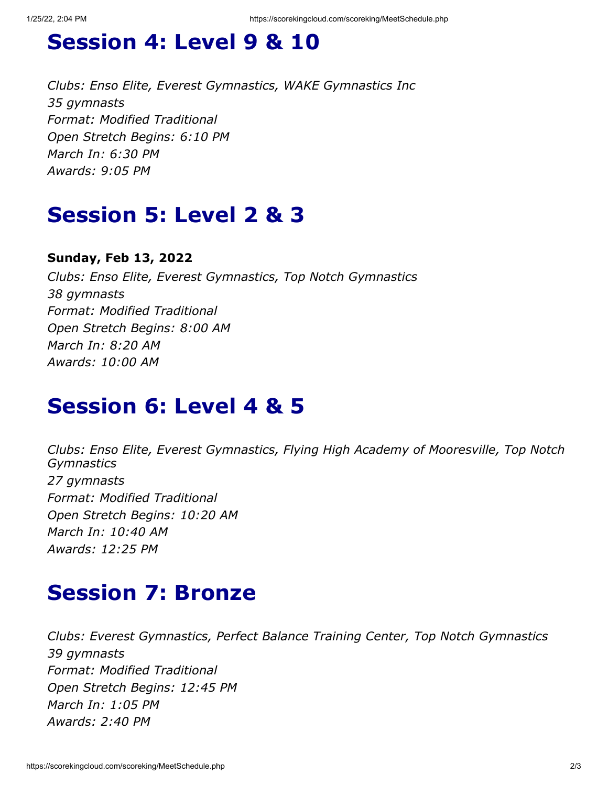# **Session 4: Level 9 & 10**

*Clubs: Enso Elite, Everest Gymnastics, WAKE Gymnastics Inc 35 gymnasts Format: Modified Traditional Open Stretch Begins: 6:10 PM March In: 6:30 PM Awards: 9:05 PM*

# **Session 5: Level 2 & 3**

#### **Sunday, Feb 13, 2022**

*Clubs: Enso Elite, Everest Gymnastics, Top Notch Gymnastics 38 gymnasts Format: Modified Traditional Open Stretch Begins: 8:00 AM March In: 8:20 AM Awards: 10:00 AM*

#### **Session 6: Level 4 & 5**

*Clubs: Enso Elite, Everest Gymnastics, Flying High Academy of Mooresville, Top Notch Gymnastics 27 gymnasts Format: Modified Traditional Open Stretch Begins: 10:20 AM March In: 10:40 AM Awards: 12:25 PM*

### **Session 7: Bronze**

*Clubs: Everest Gymnastics, Perfect Balance Training Center, Top Notch Gymnastics 39 gymnasts Format: Modified Traditional Open Stretch Begins: 12:45 PM March In: 1:05 PM Awards: 2:40 PM*